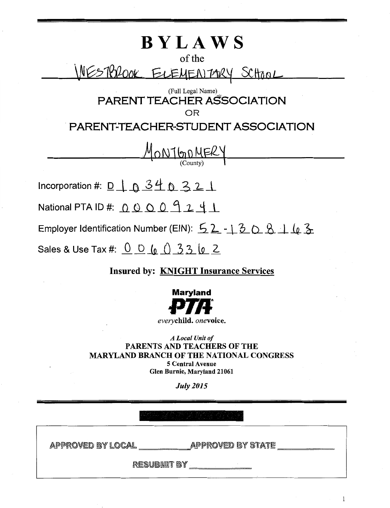# **BYLAWS**  of the \NESTBROOK ELEMENTARY SCHOOL (Full Legal Name) PARENT TEACHER ASSOCIATION OR PARENT-TEACHER-STUDENT ASSOCIATION MONTGOMER Incorporation #:  $D_1 \cap A_2 \cup A_3$ National PTA ID #: <u>\_Q\_ Q\_ Q\_ O\_ q\_ \_2\_ -4\_ i\_</u> Employer Identification Number (EIN):  $\frac{52 - 2508 + 163}{52}$ Sales & Use Tax #:  $\frac{0}{0}$   $\frac{0}{0}$   $\frac{0}{0}$   $\frac{3}{0}$   $\frac{3}{0}$   $\frac{2}{0}$

## Insured by: KNIGHT Insurance Services



*everychild.* onevoice.

*A Local Unit of*  PARENTS AND TEACHERS OF THE MARYLAND BRANCH OF THE NATIONAL CONGRESS 5 Central Avenue Glen Burnie, Maryland 21061

*July 2015* 

APPROVED BY LOCAL \_\_\_\_\_\_\_\_\_\_\_\_\_APPROVED BY STATE ,eo,bodda, di <u>\_\_\_\_\_\_\_\_\_\_\_\_</u>

 $\mathbf 1$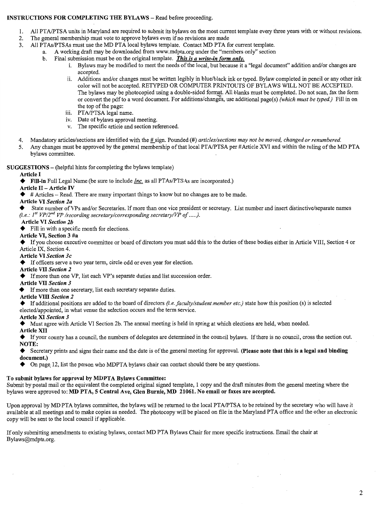#### INSTRUCTIONS FOR COMPLETING THE BYLAWS- Read before proceeding.

- 1. All PTA/PTSA units in Maryland are required to submit its bylaws on the most current template every three years with or without revisions.
- 2. The general membership must vote to approve bylaws even if no revisions are made
- 3. All PTAs/PTSAs must use the MD PTA local bylaws template. Contact MD PTA for current template.
	- a. A working draft may be downloaded from www.mdpta.org under the "members only" section
		- b. Final submission must be on the original template. *This is a write-in form only.* 
			- i. Bylaws may be modified to meet the needs of the local, but because it a "legal document" addition and/or changes are accepted.
			- ii. Additions and/or changes must be written legibly in blue/black ink or typed. Bylaw completed in pencil or any other ink color will not be accepted. RETYPED OR COMPUTER PRINTOUTS OF BYLAWS WILL NOT BE ACCEPTED. The bylaws may be photocopied using a double-sided format. All blanks must be completed. Do not scan, fax the form or convert the pdf to a word document. For additions/changes, use additional page(s) *(which must be typed.)* Fill in on the top of the page:
			- iii. PTA/PTSA legal name.
			- iv. Date of bylaws approval meeting.
			- v. The specific article and section referenced.
- 4. Mandatory articles/sections are identified with the  $\#$  sign. Pounded (#) *articles/sections may not be moved, changed or renumbered.*
- 5. Any changes must be approved by the general membership of that local PTA/PTSA per #Article XVI and within the ruling of the MD PTA bylaws committee.

SUGGESTIONS- (helpful hints for completing the bylaws template)

#### Article I

+ Fill-in Full Legal Name (be sure to include *Inc.* as all PTAs/PTSAs are incorporated.)

#### Article II - Article IV

+ # Articles - Read. There are many important things to know but no changes are to be made.

#### Article VI *Section 2a*

State number of VPs and/or Secretaries. If more than one vice president or secretary. List number and insert distinctive/separate names *(i.e.: 1'*<sup>1</sup>*VP/2"d VP /recording secretary/corresponding secretary/VP of .... .).* 

#### Article VI *Section 2b*

 $\blacklozenge$  Fill in with a specific month for elections.

#### Article VI, Section 3 #a

+ If you choose executive committee or board of directors you must add this to the duties of these bodies either in Article VIII, Section 4 or Article IX, Section 4.

#### Article VI *Section 3c*

+ If officers serve a two year term, circle odd or even year for election.

#### Article VII *Section 2*

+ If more than one VP, list each VP's separate duties and list succession order.

#### Article VII *Section 3*

+ If more than one secretary, list each secretary separate duties.

#### Article VIII *Section 2*

+ If additional positions are added to the board of directors *(i.e. faculty/student member etc.)* state how this position ( s) is selected elected/appointed, in what venue the selection occurs and the term service.

#### Article XI *Section 3*

◆ Must agree with Article VI Section 2b. The annual meeting is held in spring at which elections are held, when needed.

#### Article XII

◆ If your county has a council, the numbers of delegates are determined in the council bylaws. If there is no council, cross the section out. NOTE:

◆ Secretary prints and signs their name and the date is of the general meeting for approval. (Please note that this is a legal and binding document.)

 $\blacklozenge$  On page, 12, list the person who MDPTA bylaws chair can contact should there be any questions.

#### To submit bylaws for approval by MDPTA Bylaws Committee:

Submit by postal mail or the equivalent the completed original signed template, 1 copy and the draft minutes from the general meeting where the bylaws were approved to: MD PTA, 5 Central Ave, Glen Burnie, MD 21061. No email or faxes are accepted.

Upon approval by MD PTA bylaws committee, the bylaws will be returned to the local PTAIPTSA to be retained by the secretary who will have it available at all meetings and to make copies as needed. The photocopy will be placed on file in the Maryland PTA office and the other an electronic copy will be sent to the local council if applicable.

If only submitting amendments to existing bylaws, contact MD PTA Bylaws Chair for more specific instructions. Email the chair at Bylaws@mdpta.org.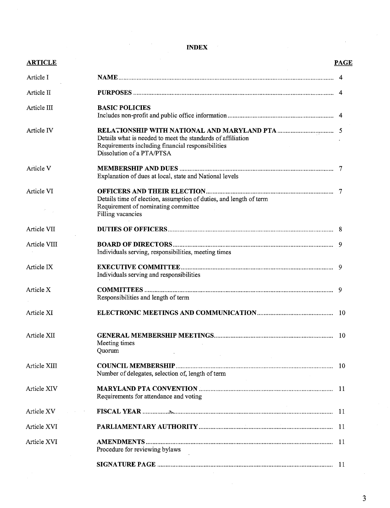### **INDEX**

| <b>ARTICLE</b> |                                                                                                                                | <b>PAGE</b> |
|----------------|--------------------------------------------------------------------------------------------------------------------------------|-------------|
| Article I      |                                                                                                                                |             |
| Article II     |                                                                                                                                |             |
| Article III    | <b>BASIC POLICIES</b>                                                                                                          |             |
|                |                                                                                                                                |             |
| Article IV     | Details what is needed to meet the standards of affiliation<br>Requirements including financial responsibilities               |             |
|                | Dissolution of a PTA/PTSA                                                                                                      |             |
| Article V      | Explanation of dues at local, state and National levels                                                                        |             |
| Article VI     | Details time of election, assumption of duties, and length of term<br>Requirement of nominating committee<br>Filling vacancies |             |
| Article VII    |                                                                                                                                |             |
| Article VIII   | Individuals serving, responsibilities, meeting times                                                                           |             |
| Article IX     | Individuals serving and responsibilities                                                                                       |             |
| Article X      | Responsibilities and length of term                                                                                            |             |
| Article XI     |                                                                                                                                |             |
| Article XII    | Meeting times<br>Quorum                                                                                                        |             |
| Article XIII   | Number of delegates, selection of, length of term                                                                              |             |
| Article XIV    | Requirements for attendance and voting                                                                                         |             |
| Article XV     |                                                                                                                                |             |
| Article XVI    |                                                                                                                                |             |
| Article XVI    | Procedure for reviewing bylaws                                                                                                 |             |
|                |                                                                                                                                |             |

3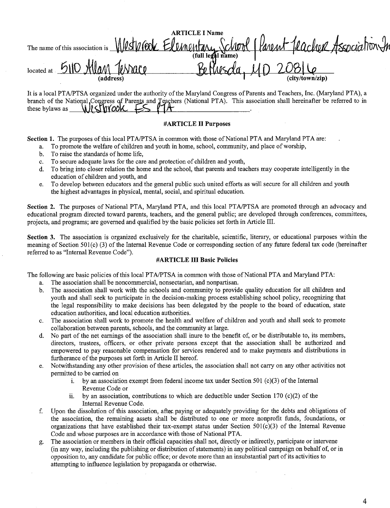|                           |                                                                                            | <b>ARTICLE I Name</b> |                 |  |
|---------------------------|--------------------------------------------------------------------------------------------|-----------------------|-----------------|--|
|                           | The name of this association is Westpreed Elementary School (Parent Peacher Association In |                       |                 |  |
|                           |                                                                                            |                       |                 |  |
| located at $\frac{5}{10}$ | Allan Tessace                                                                              |                       | $du$ $10208$    |  |
|                           | (address)                                                                                  |                       | (city/town/zip) |  |

It is a local PTA/PTSA organized under the authority of the Maryland Congress of Parents and Teachers, Inc. (Maryland PTA), a branch of the National Congress of Parents and Teachers (National PTA). This association shall hereinafter be referred to in these bylaws as  $\bigcup$   $\bigcup$   $\bigcup$   $\bigcup$   $\bigcup$   $\bigcup$   $\bigcup$   $\bigcup$   $\bigcup$   $\bigcup$   $\bigcap$   $\bigcap$   $\bigcap$   $\bigcap$   $\bigcap$   $\bigcap$   $\bigcap$   $\bigcap$   $\bigcap$   $\bigcap$   $\bigcap$   $\bigcap$   $\bigcap$   $\bigcap$   $\bigcap$   $\bigcap$   $\bigcap$   $\bigcap$   $\bigcap$   $\bigcap$   $\bigcap$   $\bigcap$   $\bigcap$   $\bigcap$ 

#### **#ARTICLE II Purposes**

**Section 1.** The purposes of this local PTA/PTSA in common with those of National PTA and Maryland PTA are:

- a. To promote the welfare of children and youth in home, school, community, and place of worship,
- b. To raise the standards of home life,
- c. To secure adequate laws for the care and protection of children and youth,
- d. To bring into closer relation the home and the school, that parents and teachers may cooperate intelligently in the education of children and youth, and
- e. To develop between educators and the general public such united efforts as will secure for all children and youth the highest advantages in physical, mental, social, and spiritual education.

Section 2. The purposes of National PTA, Maryland PTA, and this local PTA/PTSA are promoted through an advocacy and educational program directed toward parents, teachers, and the general public; are developed through conferences, committees, projects, and programs; are governed and qualified by the basic policies set forth in Article III.

**Section** 3. The association is organized exclusively for the charitable, scientific, literary, or educational purposes within the meaning of Section 501(c) (3) of the Internal Revenue Code or corresponding section of any future federal tax code (hereinafter referred to as "Internal Revenue Code").

#### **#ARTICLE III Basic Policies**

The following are basic policies of this local PTA/PTSA in common with those of National PTA and Maryland PTA:

- a. The association shall be noncommercial, nonsectarian, and nonpartisan.
- b. The association shall work with the schools and community to provide quality education for all children and youth and shall seek to participate in the decision-making process establishing school policy, recognizing that the legal responsibility to make decisions has been delegated by the people to the board of education, state education authorities, and local education authorities.
- c. The association shall work to promote the health and welfare of children and youth and shall seek to promote collaboration between parents, schools, and the community at large.
- d. No part of the net earnings of the association shall inure to the benefit of, or be distributable to, its members, directors, trustees, officers, or other private persons except that the association shall be authorized and empowered to pay reasonable compensation for services rendered and to make payments and distributions in furtherance of the purposes set forth in Article II hereof.
- e. Notwithstanding any other provision of these articles, the association shall not carry on any other activities not permitted to be carried on
	- i. by an association exempt from federal income tax under Section 501 (c)(3) of the Internal Revenue Code or
	- ii. by an association, contributions to which are deductible under Section 170 (c)(2) of the Internal Revenue Code.
- f. Upon the dissolution of this association, after, paying or adequately providing for the debts and obligations of the association, the remaining assets shall be distributed to one or more nonprofit funds, foundations, or organizations that have established their tax-exempt status under Section  $501(c)(3)$  of the Internal Revenue Code and whose purposes are in accordance with those of National PTA.
- g. The association or members in their official capacities shall not, directly or indirectly, participate or intervene (in any way, including the publishing or distribution of statements) in any political campaign on behalf of, or in opposition to, any candidate for public office; or devote more than an insubstantial part of its activities to attempting to influence legislation by propaganda or otherwise.

4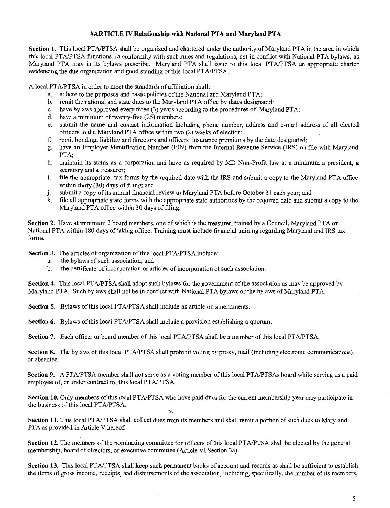#### **#ARTICLE IV Relationship with National PTA and Maryland PTA**

Section 1. This local PTA/PTSA shall be organized and chartered under the authority of Maryland PTA in the area in which this local PTA/PTSA functions, in conformity with such rules and regulations, not in conflict with National PTA bylaws, as Maryland PTA may in its bylaws prescribe. Maryland PTA shall issue to this local PT AIPTSA an appropriate charter evidencing the due organization and good standing of this local PTA/PTSA.

A local PTA/PTSA in order to meet the standards of affiliation shall:

- a. adhere to the purposes and basic policies of the National and Maryland PTA;
- b. remit the national and state dues to the Maryland PTA office by dates designated;
- c. have bylaws approved every three (3) years according to the procedures of Maryland PTA;
- d. have a minimum of twenty-five (25) members;
- e. submit the name and contact information including phone number, address and e-mail address of all elected officers to the Maryland PTA office within two (2) weeks of election;
- f. remit bonding, liability and directors and officers insurance premiums by the date designated;
- g. have an Employer Identification Number (EIN) from the Internal Revenue Service (IRS) on file with Maryland PTA;
- h. maintain its status as a corporation and have as required by MD Non-Profit law at a minimum a president, a secretary and a treasurer;
- i. file the appropriate tax forms by the required date with the IRS and submit a copy to the Maryland PTA office within thirty (30) days of filing; and
- j. submit a copy of its annual financial review to Maryland PTA before October 31 each year; and
- k. file all appropriate state forms with the appropriate state authorities by the required date and submit a copy to the Maryland PTA office within 30 days of filing.

**Section 2.** Have at minimum 2 board members, one of which is the treasurer, trained by a Council, Maryland PTA or National PTA within 180 days of 'aking office. Training must include financial training regarding Maryland and IRS tax forms.

**Section** 3. The articles of organization of this local PT A/PTSA include:

- a. the bylaws of such association; and
- b. the certificate of incorporation or articles of incorporation of such association.

**Section 4.** This local PTA/PTSA shall adopt such bylaws for the government of the association as may be approved by Maryland PTA. Such bylaws shall not be in conflict with National PTA bylaws or the bylaws of Maryland PTA.

**Section 5.** Bylaws of this local PT A/PTSA shall include an article on amendments.

**Section 6.** Bylaws of this local PTA/PTSA shall include a provision establishing a quorum.

**Section** 7. Each officer or board member of this local PTA/PTSA shall be a member of this local PTA/PTSA.

r.~

Section 8. The bylaws of this local PTA/PTSA shall prohibit voting by proxy, mail (including electronic communications), or absentee.

**Section 9.** A PTA/PTSA member shall not serve as a voting member of this local PTA/PTSAs board while serving as a paid employee of, or under contract to, this local PT A/PTSA.

**Section 10.** Only members of this local PTA/PTSA who have paid dues for the current membership year may participate in the business of this local PTA/PTSA.

**Section 11.** This local PT A/PTSA shall collect dues from its members and shall remit a portion of such dues to Maryland PTA as provided in Article V hereof.

**Section 12.** The members of the nominating committee for officers of this local PTA/PTSA shall be elected by the general membership, board of directors, or executive committee (Article VI Section 3a).

**Section 13.** This local PTA/PTSA shall keep such permanent books of account and records as shall be sufficient to establish the items of gross income, receipts, and disbursements of the association, including, specifically, the number of its members,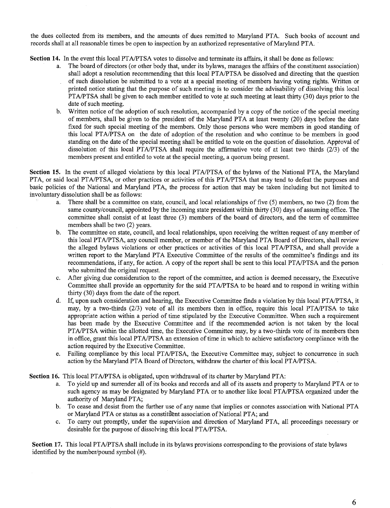the dues collected from its members, and the amounts of dues remitted to Maryland PTA. Such books of account and records shall at all reasonable times be open to inspection by an authorized representative of Maryland PTA. ·

**Section 14.** In the event this local PTA/PTSA votes to dissolve and terminate its affairs, it shall be done as follows:

- a. The board of directors (or other body that, under its bylaws, manages the affairs of the constituent association) shall adopt a resolution recommending that this local PT A/PTSA be dissolved and directing that the question of such dissolution be submitted to a vote at a special meeting of members having voting rights. Written or printed notice stating that the purpose of such meeting is to consider the advisability of dissolving this local PTA/PTSA shall be given to each member entitled to vote at such meeting at least thirty (30) days prior to the date of such meeting.
- b. Written notice of the adoption of such resolution, accompanied by a copy of the notice of the special meeting of members, shall be given to the president of the Maryland PTA at least twenty (20) days before the date fixed for such special meeting of the members. Only those persons who were members in good standing of this local PT AIPTSA on the date of adoption of the resolution and who continue to be members in good standing on the date of the special meeting shall be entitled to vote on the question of dissolution. Approval of dissolution of this local PTA/PTSA shall require the affirmative vote of at least two thirds (2/3) of the members present and entitled to vote at the special meeting, a quorum being present.

**Section 15.** In the event of alleged violations by this local PT A/PTSA of the bylaws of the National PTA, the Maryland PTA, or said local PTA/PTSA, or other practices or activities of this PTA/PTSA that may tend to defeat the purposes and basic policies of the National and Maryland PTA, the process for action that may be taken including but not limited to involuntary dissolution shall be as follows:

- a. There shall be a committee on state, council, and local relationships of five (5) members, no two (2) from the same county/council, appointed by the incoming state president within thirty (30) days of assuming office. The committee shall consist of at least three (3) members of the board of directors, and the term of committee members shall be two (2) years.
- b. The committee on state, council, and local relationships, upon receiving the written request of any member of this local PT A/PTSA, any council member, or member of the Maryland PTA Board of Directors, shall review the alleged bylaws violations or other practices or activities of this local PT A/PTSA, and shall provide a written report to the Maryland PTA Executive Committee of the results of the committee's findings and its recommendations, if any, for action. A copy of the report shall be sent to this local PT A/PTSA and the person who submitted the original request.
- c. After giving due consideration to the report of the committee, and action is deemed necessary, the Executive Committee shall provide an opportunity for the said PT A/PTSA to be heard and to respond in writing within thirty (30) days from the date of the report.
- d. If, upon such consideration and hearing, the Executive Committee finds a violation by this local PTA/PTSA, it may, by a two-thirds  $(2/3)$  vote of all its members then in office, require this local PTA/PTSA to take appropriate action within a period of time stipulated by the Executive Committee. When such a requirement has been made by the Executive Committee and if the recommended action is not taken by the local PTA/PTSA within the allotted time, the Executive Committee may, by a two-thirds vote of its members then in office, grant this local PT A/PTSA an extension of time in which to achieve satisfactory compliance with the action required by the Executive Committee.
- e. Failing compliance by this local PTA/PTSA, the Executive Committee may, subject to concurrence in such action by the Maryland PTA Board of Directors, withdraw the charter of this local PT A/PTSA.

**Section 16.** This local PTA/PTSA is obligated, upon withdrawal of its charter by Maryland PTA:

- a. To yield up and surrender all of its books and records and all of its assets and property to Maryland PTA or to such agency as may be designated by Maryland PTA or to another like local PTA/PTSA organized under the authority of Maryland PTA;
- b. To cease and desist from the further use of any name that implies or connotes association with National PTA or Maryland PTA or status as a constituent association of National PTA; and
- c. To carry out promptly, under the supervision and direction of Maryland PTA, all proceedings necessary or desirable for the purpose of dissolving this local PT A/PTSA.

**Section 17.** This local PT A/PTSA shall include in its bylaws provisions corresponding to the provisions of state bylaws identified by the number/pound symbol (#).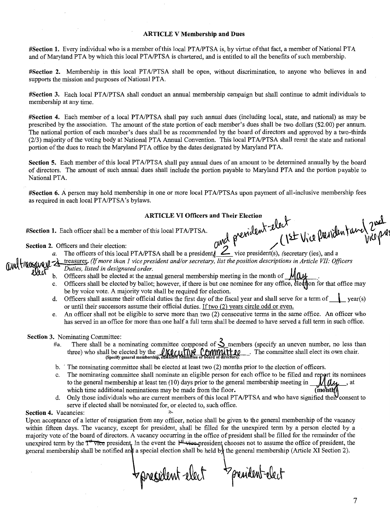#### **ARTICLE V Membership and Dues**

**#Section 1.** Every individual who is a member of this local PTA/PTSA is, by virtue of that fact, a member of National PTA and of Maryland PTA by which this local PTA/PTSA is chartered, and is entitled to all the benefits of such membership.

**#Section 2.** Membership in this local PT AIPTSA shall be open, without discrimination, to anyone who believes in and supports the mission and purposes of National PTA.

**#Section** 3. Each local PT A/PTSA shall conduct an annual membership campaign but shall continue to admit individuals to membership at any time.

**#Section 4.** Each member of a local PT AIPTSA shall pay such annual dues (including local, state, and national) as may be prescribed by the association. The amount of the state portion of each member's dues shall be two dollars (\$2.00) per annum. The national portion of each member's dues shall be as recommended by the board of directors and approved by a two-thirds (2/3) majority of the voting body at National PTA Annual Convention. This local PTAIPTSA shall remit the state and national portion of the dues to reach the Maryland PTA office by the dates designated by Maryland PTA.

Section 5. Each member of this local PTA/PTSA shall pay annual dues of an amount to be determined annually by the board of directors. The amount of such annual dues shall include the portion payable to Maryland PTA and the portion payable to National PTA.

**#Section 6.** A person may hold membership in one or more local PTAIPTSAs upon payment of all-inclusive membership fees as required in each local PTA/PTSA's bylaws.

# **ARTICLE VI Officers and Their Election**  $\begin{matrix} 1 & 0 \end{matrix}$

#Section 1. Each officer shall be a member of this local PTA/PTSA. werident that is to pulled the line of the Exection 1. Each officers and their election: *2.* Officers and their election: *2. Quality and presention* (15 Wild *Walidian I are )* 

**a.** The officers of this local PTA/PTSA shall be a president <u>2</u> vice president(s), (secretary (ies), and a a mediant and the secretary of the position descriptions in Article VII: Officer and a *Duties, listed in designa*  $\mathbb{C}$   $\mathbb{C}$   $\mathbb{C}$   $\mathbb{C}$   $\mathbb{C}$   $\mathbb{C}$  treasurer. *(If more than 1 vice president and/or secretary, list the position descriptions in Article VII: Officers Duties, listed in designated order.* 

- - b. Officers shall be elected at the annual general membership meeting in the month of  $\mathcal{M}(\mathcal{U})$ .
	- c. Officers shall be elected by ballot; however, if there is but one nominee for any office, election for that office may be by voice vote. A majority vote shall be required for election.
	- d. Officers shall assume their official duties the first day of the fiscal year and shall serve for a term of year(s) or until their successors assume their official duties. If two (2) years circle odd or even.
	- e. An officer shall not be eligible to serve more than two (2) consecutive terms in the same office. An officer who has served in an office for more than one half a full term shall be deemed to have served a full term in such office.

#### **Section 3.** Nominating Committee:

- #a. There shall be a nominating committee composed of  $\sum$  members (specify an uneven number, no less than three) who shall be elected by the  $\lim_{\text{Specify general membership, exchahve contribute or board of directions}}$ . The committee shall elect its own chair.
- b. · The nominating committee shall be elected at least two (2) months prior to the election of officers.
- c. The nominating committee shall nominate an eligible person for each office to be filled and report its nominees to the general membership at least ten (10) days prior to the general membership meeting in  $\mathcal{M}$   $\mathcal{U}_{\mathcal{U}}$ , at which time additional nominations may be made from the floor.  $(m \cdot \text{t} + m \cdot \text{t})$
- d. Only those individuals who are current members of this local PTA/PTSA and who have signified their consent to serve if elected shall be nominated for, or elected to, such office.

#### **Section 4. Vacancies:**

Upon acceptance of a letter of resignation from any officer, notice shall be given to the general membership of the vacancy within fifteen days. The vacancy, except for president, shall be filled for the unexpired term by a person elected by a majority vote of the board of directors. A vacancy occurring in the office of president shall be filled for the remainder of the unexpired term by the  $T^*$  vice president. In the event the  $F^*$  vice-president chooses not to assume the office of president, the general membership shall be notified and a special election shall be held by the general membership (Article XI Section 2).

Spresident elect breadent-elect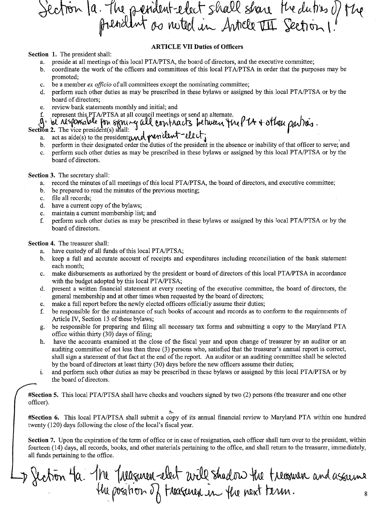Section 1a. The president-elect shall share the duties of the

#### **ARTICLE VII Duties of Officers**

**Section 1.** The president shall:

- a. preside at all meetings of this local PTA/PTSA, the board of directors, and the executive committee;
- b. coordinate the work of the officers and committees of this local PT A/PTSA in order that the purposes may be promoted;
- c. be a member *ex officio* of all committees except the nominating committee;
- d. perform such other duties as may be prescribed in these bylaws or assigned by this local PT A/PTSA or by the board of directors;
- e. review bank statements monthly and initial; and
- $\mathbf{f}$ . represent this PTA/PTSA at all council meetings or send an alternate.  $\mathbf{a}$
- (a) W. Also possible for sign -- q all contracts between the P14 + other parties.

- a. act as aide(s) to the president und perident elect.
- b. perform in their designated order the duties of the president in the absence or inability of that officer to serve; and
- c. perform such other duties as may be prescribed in these bylaws or assigned by this local PTA/PTSA or by the board of directors.

**Section** 3. The secretary shall:

- a. record the minutes of all meetings of this local PT A/PTSA, the board of directors, and executive committee;
- b. be prepared to read the minutes of the previous meeting;
- c. file all records;
- d. have a current copy of the bylaws;
- e. maintain a current membership list; and
- £ perform such other duties as may be prescribed in these bylaws or assigned by this local PT A/PTSA or by the board of directors.

#### **Section 4.** The treasurer shall:

- a. have custody of all funds of this local PTA/PTSA;
- b. keep a full and accurate account of receipts and expenditures including reconciliation of the bank statement each month;
- c. make disbursements as authorized by the president or board of directors of this local PTA/PTSA in accordance with the budget adopted by this local PTA/PTSA;
- d. present a written financial statement at every meeting of the executive committee, the board of directors, the general membership and at other times when requested by the board of directors;
- e. make a full report before the newly elected officers officially assume their duties;
- f. be responsible for the maintenance of such books of account and records as to conform to the requirements of Article IV, Section 13 of these bylaws;
- g. be responsible for preparing and filing all necessary tax forms and submitting a copy to the Maryland PTA office within thirty (30) days of filing;
- h. have the accounts examined at the close of the fiscal year and upon change of treasurer by an auditor or an auditing committee of not less than three (3) persons who, satisfied that the treasurer's annual report is correct, shall sign a statement of that fact at the end of the report. An auditor or an auditing committee shall be selected by the board of directors at least thirty (30) days before the new officers assume their duties;
- 1. and perform such other duties as may be prescribed in these bylaws or assigned by this local PT A/PTSA or by the board of directors.

**#Section 5.** This local PT A/PTSA shall have checks and vouchers signed by two (2) persons (the treasurer and one other officer).

-;:~

**#Section 6.** This local PTA/PTSA shall submit a copy of its annual financial review to Maryland PTA within one hundred twenty (120) days following the close of the local's fiscal year.

**Section** 7. Upon the expiration of the term of office or in case of resignation, each officer shall tum over to the president, within fourteen (14) days, all records, books, and other materials pertaining to the office, and shall return to the treasurer, immediately, all funds pertaining to the office.

D Section 4a. The Treasuren elect will shad ow the treasuren and assumented 8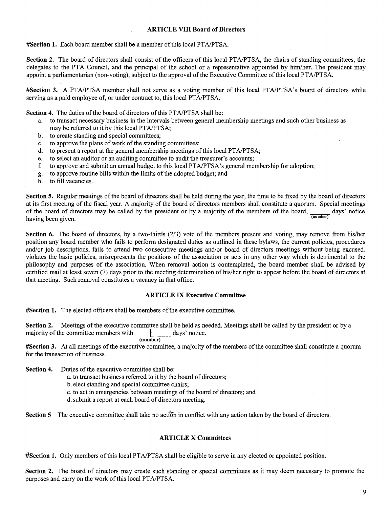#### **ARTICLE VIII Board of Directors**

**#Section 1.** Each board member shall be a member ofthis local PTA/PTSA.

Section 2. The board of directors shall consist of the officers of this local PTA/PTSA, the chairs of standing committees, the delegates to the PTA Council, and the principal of the school or a representative appointed by him/her. The president may appoint a parliamentarian (non-voting), subject to the approval of the Executive Committee of this local PTA/PTSA.

**#Section 3.** A PTA/PTSA member shall not serve as a voting member of this local PTA/PTSA's board of directors while serving as a paid employee of, or under contract to, this local PTA/PTSA.

**Section 4.** The duties of the board of directors of this PTA/PTSA shall be:

- a. to transact necessary business in the intervals between general membership meetings and such other business as may be referred to it by this local PT A/PTSA;
- b. to create standing and special committees;
- c. to approve the plans of work of the standing committees;
- d. to present a report at the general membership meetings of this local PTA/PTSA;
- e. to select an auditor or an auditing committee to audit the treasurer's accounts;
- f. to approve and submit an annual budget to this local PTA/PTSA's general membership for adoption;
- g. to approve routine bills within the limits of the adopted budget; and
- h. to fill vacancies.

**Section 5.** Regular meetings of the board of directors shall be held during the year, the time to be fixed by the board of directors at its first meeting of the fiscal year. A majority of the board of directors members shall constitute a quorum. Special meetings of the board of directors may be called by the president or by a majority of the members of of the board of directors may be called by the president or by a majority of the members of the board,  $\frac{1}{\sqrt{2}}$  days' notice having been given. (number)

**Section 6.** The board of directors, by a two-thirds (2/3) vote of the members present and voting, may remove from his/her position any board member who fails to perform designated duties as outlined in these bylaws, the current policies, procedures and/or job descriptions, fails to attend two consecutive meetings and/or board of directors meetings without being excused, violates the basic policies, misrepresents the positions of the association or acts in any other way which is detrimental to the philosophy and purposes of the association. When removal action is contemplated, the board member shall be advised by certified mail at least seven (7) days prior to the meeting determination of his/her right to appear before the board of directors at that meeting. Such removal constitutes a vacancy in that office.

#### **ARTICLE IX Executive Committee**

**#Section 1.** The elected officers shall be members of the executive committee.

**Section 2.** Meetings of the executive committee shall be held as needed. Meetings shall be called by the president or by a majority of the committee members with  $\qquad \qquad$  days' notice.

#### **(number)**

**#Section 3.** At all meetings of the executive committee, a majority of the members of the committee shall constitute a quorum for the transaction of business.

**Section 4.** Duties of the executive committee shall be:

a. to transact business referred to it by the board of directors;

b. elect standing and special committee chairs;

c. to act in emergencies between meetings of the board of directors; and

d. submit a report at each board of directors meeting.

**Section 5** The executive committee shall take no action in conflict with any action taken by the board of directors.

#### **ARTICLE X Committees**

**#Section 1.** Only members of this local PT A/PTSA shall be eligible to serve in any elected or appointed position.

**Section 2.** The board of directors may create such standing or special committees as it may deem necessary to promote the purposes and carry on the work of this local PT A/PTSA.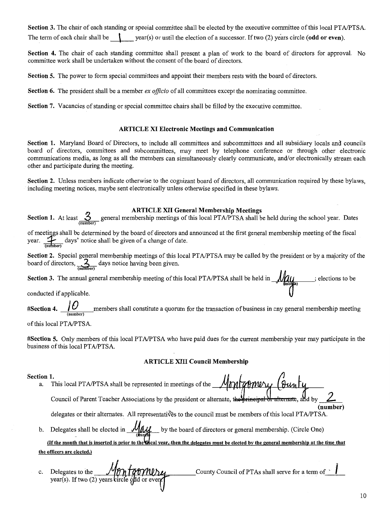Section 3. The chair of each standing or special committee shall be elected by the executive committee of this local PT A/PTSA. The term of each chair shall be  $\downarrow$  year(s) or until the election of a successor. If two (2) years circle (odd or even).

Section 4. The chair of each standing committee shall present a plan of work to the board of directors for approval. No committee work shall be undertaken without the consent of the board of directors.

Section 5. The power to form special committees and appoint their members rests with the board of directors.

Section 6. The president shall be a member *ex officio* of all committees except the nominating committee.

Section 7. Vacancies of standing or special committee chairs shall be filled by the executive committee.

#### ARTICLE XI Electronic Meetings and Communication

Section 1. Maryland Board of Directors, to include all committees and subcommittees and all subsidiary locals and councils board of directors, committees and subcommittees, may meet by telephone conference or through other electronic communications media, as long as all the members can simultaneously clearly communicate, and/or electronically stream each other and participate during the meeting.

Section 2. Unless members indicate otherwise to the cognizant board of directors, all communication required by these bylaws, including meeting notices, maybe sent electronically unless otherwise specified in these bylaws.

ARTICLE XII General Membership Meetings<br>Section 1. At least  $\frac{3}{(number)}$  general membership meetings of this local PTA/PTSA shall be held during the school year. Dates

of meetings shall be determined by the board of directors and announced at the first general membership meeting of the fiscal of meetings shall be determined by the board of directors and<br>year.  $\frac{1}{(number)}$  days' notice shall be given of a change of date.

Section 2. Special general membership meetings of this local PTA/PTSA may be called by the president or by a majority of the board of directors,  $\frac{2}{(m\overline{m}b\overline{v})}$  days notice having been given.

Section 3. The annual general membership meeting of this local PTA/PTSA shall be held in  $\mathcal{M}_{\text{loop}}$ ; elections to be conducted if applicable.

#Section 4.  $\underbrace{\int \int \int \int \int \int \int \int \int}$  members shall constitute a quorum for the transaction of business in cny general membership meeting

of this local PT A/PTSA.

#Section 5. Only members of this local PT A/PTSA who have paid dues for the current membership year may participate in the business of this local PTA/PTSA.

#### ARTICLE XIII Council Membership

Section 1.<br>a. This local PTA/PTSA shall be represented in meetings of the *Montgomery* (sunty Council of Parent Teacher Associations by the president or alternate, the

delegates or their alternates. All representatives to the council must be members of this local PTA/PTSA.

b. Delegates shall be elected in  $\mathcal{M}\mathcal{M}$  by the board of directors or general membership. (Circle One) (If the month that is inserted is prior to the **G**scal year, then the delegates must be elected by the general membership at the time that

the officers are elected.)

County Council of PTAs shall serve for a term of 1 Delegates to the Monfarming c.

(number)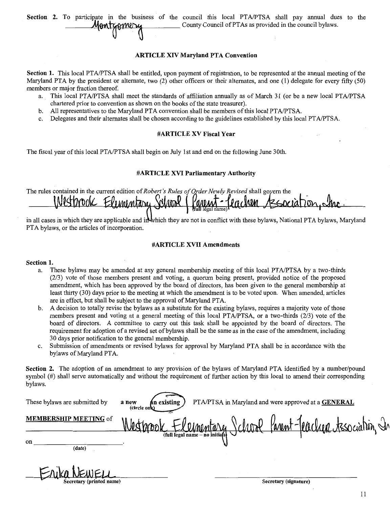Section 2. To participate in the business of the council this local PTA/PTSA shall pay annual dues to the  $\mathcal{M}$  County Council of PTAs as provided in the council bylaws.

#### **ARTICLE XIV Maryland PTA Convention**

Section 1. This local PTA/PTSA shall be entitled, upon payment of registration, to be represented at the annual meeting of the Maryland PTA by the president or alternate, two (2) other officers or their alternates, and one (1) delegate for every fifty (50) members or major fraction thereof.

- a. This local PTA/PTSA shall meet the standards of affiliation annually as of March 31 (or be a new local PTA/PTSA chartered prior to convention as shown on the books of the state treasurer).
- b. All representatives to the Maryland PTA convention shall be members of this local PTA/PTSA.
- c. Delegates and their alternates shall be chosen according to the guidelines established by this local PT AIPTSA.

#### #ARTICLE XV Fiscal Year

The fiscal year ofthis local PTA/PTSA shall begin on July 1st and end on the following June 30th.

#### #ARTICLE XVI Parliamentary Authority

The rules contained in the current edition of Robert's Rules of Order Newly Revised shall govern the Westprook Elementary Panna Association, the  $\mathcal{P}$ re c'AQM **AADAA** 

in all cases in which they are applicable and in which they are not in conflict with these bylaws, National PTA bylaws, Maryland PTA bylaws, or the articles of incorporation.

#### #ARTICLE XVIT Amendments

#### Section 1.

- a. These bylaws may be amended at any general membership meeting of this local PTA/PTSA by a two-thirds (2/3) vote of those members present and voting, a quorum being present, provided notice of the proposed amendment, which has been approved by the board of directors, has been given to the general membership at least thirty (30) days prior to the meeting at which the amendment is to be voted upon. When amended, articles are in effect, but shall be subject to the approval of Maryland PTA.
- b. A decision to totally revise the bylaws as a substitute for the existing bylaws, requires a majority vote of those members present and voting at a general meeting of this local PTA/PTSA, or a two-thirds (2/3) vote of the board of directors. A committee to carry out this task shall be appointed by the board of directors. The requirement for adoption of a revised set of bylaws shall be the same as in the case of the amendment, including 30 days prior notification to the general membership.
- c. Submission of amendments or revised bylaws for approval by Maryland PTA shall be in accordance with the bylaws of Maryland PTA.

Section 2. The adoption of an amendment to any provision of the bylaws of Maryland PTA identified by a number/pound symbol (#) shall serve automatically and without the requirement of further action by this local to amend their corresponding bylaws.

| These bylaws are submitted by | PTA/PTSA in Maryland and were approved at a GENERAL<br><b>An</b> existing<br>a new<br>(circle one) |
|-------------------------------|----------------------------------------------------------------------------------------------------|
| <b>MEMBERSHIP MEETING of</b>  | Parent-Jeachen tessociation, In<br>Charles Contrat de la                                           |
| on<br>(date)                  |                                                                                                    |
| Secretary (printed name)      | Secretary (signature)                                                                              |